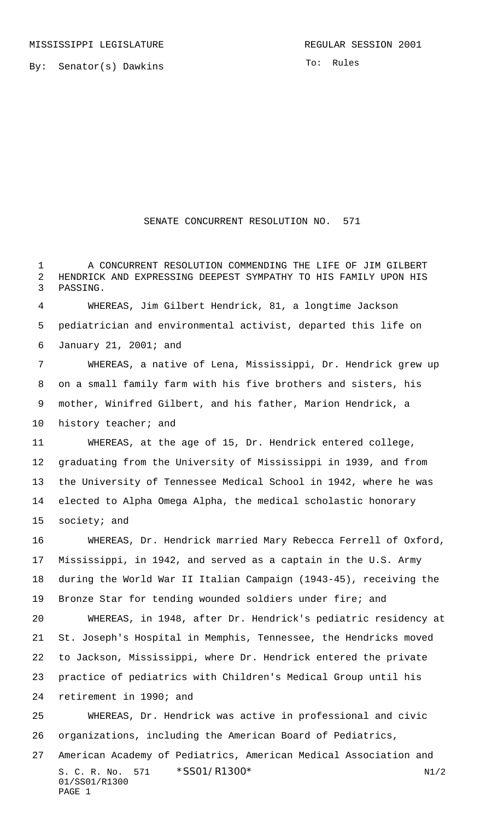By: Senator(s) Dawkins

To: Rules

## SENATE CONCURRENT RESOLUTION NO. 571

 A CONCURRENT RESOLUTION COMMENDING THE LIFE OF JIM GILBERT HENDRICK AND EXPRESSING DEEPEST SYMPATHY TO HIS FAMILY UPON HIS PASSING.

 WHEREAS, Jim Gilbert Hendrick, 81, a longtime Jackson pediatrician and environmental activist, departed this life on January 21, 2001; and

 WHEREAS, a native of Lena, Mississippi, Dr. Hendrick grew up on a small family farm with his five brothers and sisters, his mother, Winifred Gilbert, and his father, Marion Hendrick, a 10 history teacher; and

 WHEREAS, at the age of 15, Dr. Hendrick entered college, graduating from the University of Mississippi in 1939, and from the University of Tennessee Medical School in 1942, where he was elected to Alpha Omega Alpha, the medical scholastic honorary society; and

 WHEREAS, Dr. Hendrick married Mary Rebecca Ferrell of Oxford, Mississippi, in 1942, and served as a captain in the U.S. Army during the World War II Italian Campaign (1943-45), receiving the Bronze Star for tending wounded soldiers under fire; and WHEREAS, in 1948, after Dr. Hendrick's pediatric residency at

 St. Joseph's Hospital in Memphis, Tennessee, the Hendricks moved to Jackson, Mississippi, where Dr. Hendrick entered the private practice of pediatrics with Children's Medical Group until his

retirement in 1990; and

 WHEREAS, Dr. Hendrick was active in professional and civic organizations, including the American Board of Pediatrics,

S. C. R. No. 571 \* SS01/R1300\* N1/2 01/SS01/R1300 PAGE 1 American Academy of Pediatrics, American Medical Association and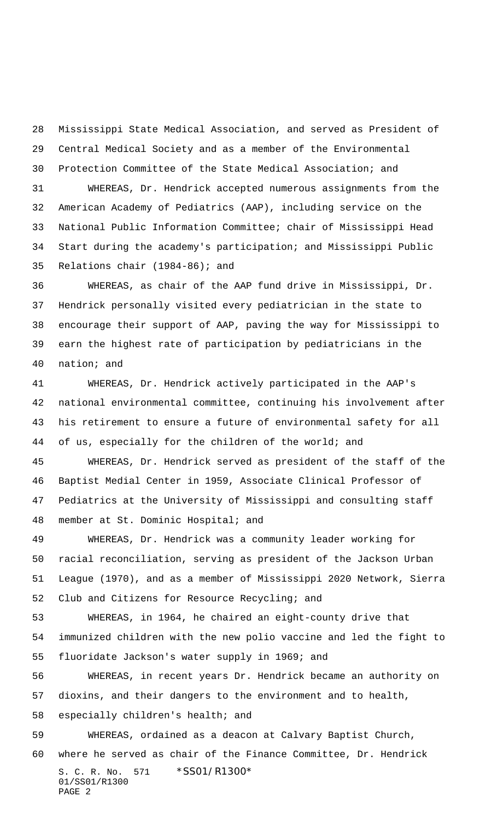Mississippi State Medical Association, and served as President of Central Medical Society and as a member of the Environmental Protection Committee of the State Medical Association; and

 WHEREAS, Dr. Hendrick accepted numerous assignments from the American Academy of Pediatrics (AAP), including service on the National Public Information Committee; chair of Mississippi Head Start during the academy's participation; and Mississippi Public Relations chair (1984-86); and

 WHEREAS, as chair of the AAP fund drive in Mississippi, Dr. Hendrick personally visited every pediatrician in the state to encourage their support of AAP, paving the way for Mississippi to earn the highest rate of participation by pediatricians in the nation; and

 WHEREAS, Dr. Hendrick actively participated in the AAP's national environmental committee, continuing his involvement after his retirement to ensure a future of environmental safety for all of us, especially for the children of the world; and

 WHEREAS, Dr. Hendrick served as president of the staff of the Baptist Medial Center in 1959, Associate Clinical Professor of Pediatrics at the University of Mississippi and consulting staff member at St. Dominic Hospital; and

 WHEREAS, Dr. Hendrick was a community leader working for racial reconciliation, serving as president of the Jackson Urban League (1970), and as a member of Mississippi 2020 Network, Sierra Club and Citizens for Resource Recycling; and

 WHEREAS, in 1964, he chaired an eight-county drive that immunized children with the new polio vaccine and led the fight to fluoridate Jackson's water supply in 1969; and

 WHEREAS, in recent years Dr. Hendrick became an authority on dioxins, and their dangers to the environment and to health, especially children's health; and

S. C. R. No. 571 \*SS01/R1300\* 01/SS01/R1300 PAGE 2 WHEREAS, ordained as a deacon at Calvary Baptist Church, where he served as chair of the Finance Committee, Dr. Hendrick